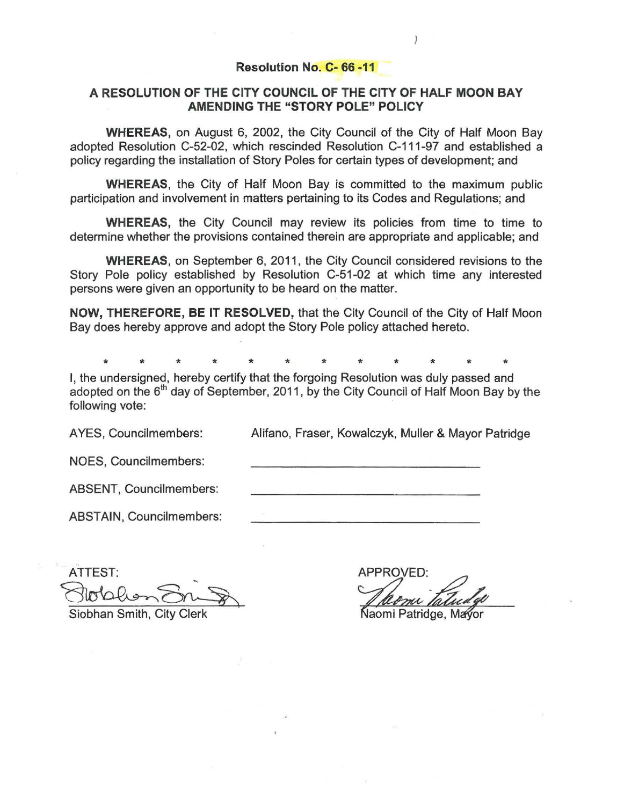### Resolution No. C- 66 -11

## A RESOLUTION OF THE CITY COUNCIL OF THE CITY OF HALF MOON BAY AMENDING THE "STORY POLE" POLICY

WHEREAS, on August 6, 2002, the City Council of the City of Half Moon Bay adopted Resolution C-52-02, which rescinded Resolution C-111-97 and established a policy regarding the installation of Story Poles for certain types of development; and

WHEREAS, the City of Half Moon Bay is committed to the maximum public participation and involvement in matters pertaining to its Codes and Regulations; and

WHEREAS, the City Council may review its policies from time to time to determine whether the provisions contained therein are appropriate and applicable; and

WHEREAS, on September 6, 2011, the City Council considered revisions to the Story Pole policy established by Resolution C-51-02 at which time any interested persons were given an opportunity to be heard on the matter.

NOW, THEREFORE, BE IT RESOLVED, that the City Council of the City of Half Moon Bay does hereby approve and adopt the Story Pole policy attached hereto.

\* \* \* \* \* \* \* \* \* \* \* \*

I, the undersigned, hereby certify that the forgoing Resolution was duly passed and adopted on the  $6<sup>th</sup>$  day of September, 2011, by the City Council of Half Moon Bay by the following vote:

AYES, Councilmembers: Alifano, Fraser, Kowalczyk, Muller & Mayor Patridge

NOES, Councilmembers:

ABSENT, Councilmembers:

ABSTAIN, Councilmembers:

ATTEST:<br>Slotalen Sning ATTEST: Siobhan Smith, City Clerk

**APPROVED:** 

## Naomi Patridge, Mayor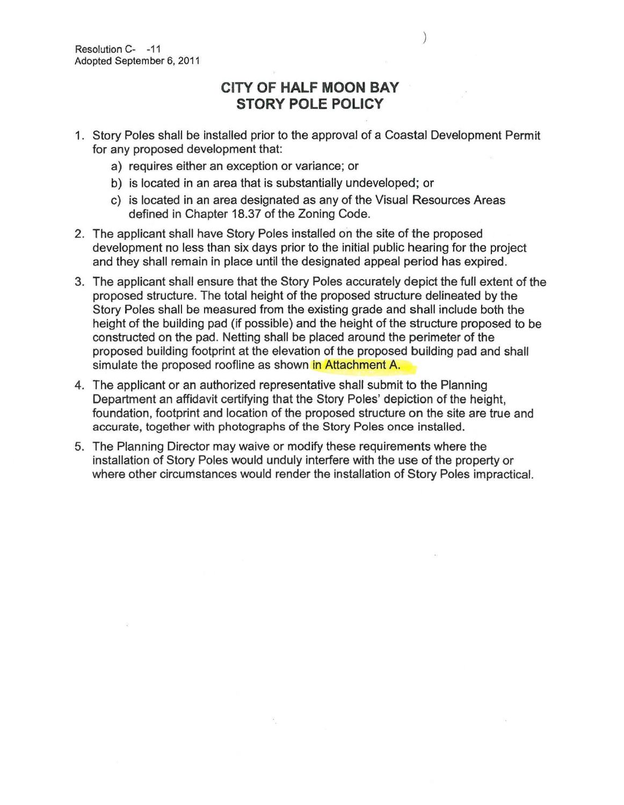# **CITY OF HALF MOON BAY STORY POLE POLICY**

- 1. Story Poles shall be installed prior to the approval of a Coastal Development Permit for any proposed development that:
	- a) requires either an exception or variance; or
	- b) is located in an area that is substantially undeveloped; or
	- c) is located in an area designated as any of the Visual Resources Areas defined in Chapter 18.37 of the Zoning Code.
- 2. The applicant shall have Story Poles installed on the site of the proposed development no less than six days prior to the initial public hearing for the project and they shall remain in place until the designated appeal period has expired.
- 3. The applicant shall ensure that the Story Poles accurately depict the full extent of the proposed structure. The total height of the proposed structure delineated by the Story Poles shall be measured from the existing grade and shall include both the height of the building pad (if possible) and the height of the structure proposed to be constructed on the pad. Netting shall be placed around the perimeter of the proposed building footprint at the elevation of the proposed building pad and shall simulate the proposed roofline as shown in Attachment A.
- 4. The applicant or an authorized representative shall submit to the Planning Department an affidavit certifying that the Story Poles' depiction of the height, foundation, footprint and location of the proposed structure on the site are true and accurate, together with photographs of the Story Poles once installed.
- 5. The Planning Director may waive or modify these requirements where the installation of Story Poles would unduly interfere with the use of the property or where other circumstances would render the installation of Story Poles impractical.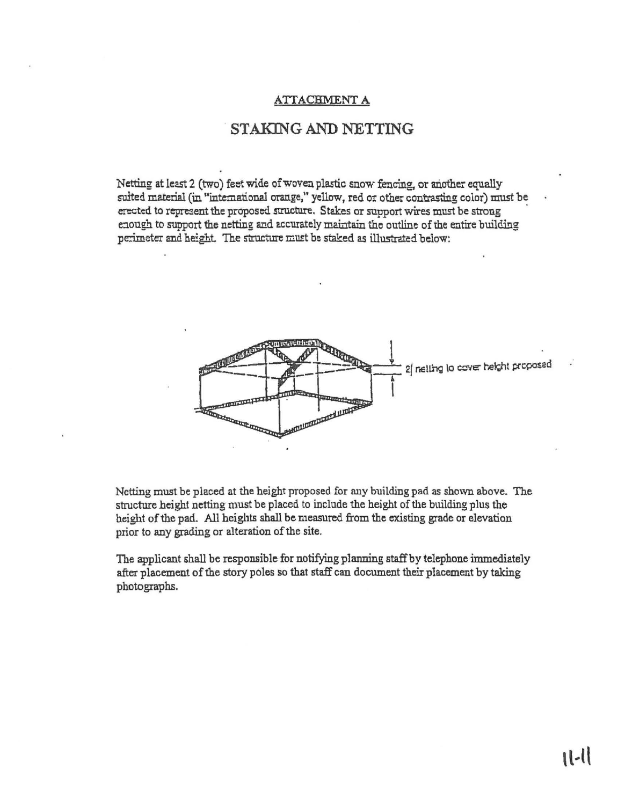#### ATTACHMENT A

# STAKING AND NETTING

Netting at least 2 (two) feet wide of woven plastic snow fencing, or another equally suited material (in "international orange," yellow, red or other contrasting color) must be erected to represent the proposed structure. Stakes or support wires must be strong enough to support the netting and accurately maintain the outline of the entire building perimeter and height. The structure must be staked as illustrated below:



Netting must be placed at the height proposed for nny building pad as shown above. The structure height netting must be placed to include the height of the building plus the height of the pad. All heights shall be measured from the existing grade or elevation prior to any grading or alteration of the site.

The applicant shall be responsible for notifying planning staff by telephone immediately after placement of the story poles so that staff can document their placement by taking photographs.